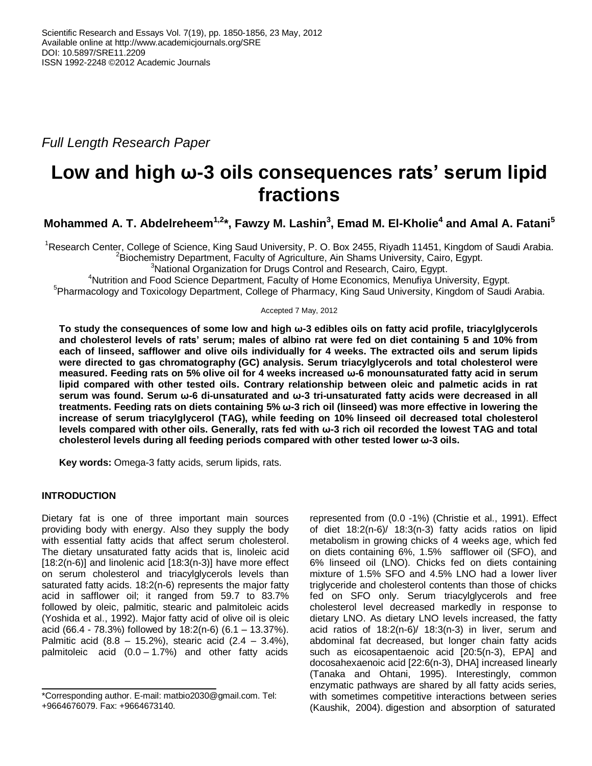*Full Length Research Paper*

# **Low and high ω-3 oils consequences rats' serum lipid fractions**

**Mohammed A. T. Abdelreheem1,2 \*, Fawzy M. Lashin<sup>3</sup> , Emad M. El-Kholie<sup>4</sup> and Amal A. Fatani<sup>5</sup>**

<sup>1</sup>Research Center, College of Science, King Saud University, P. O. Box 2455, Riyadh 11451, Kingdom of Saudi Arabia.  ${}^{2}$ Biochemistry Department, Faculty of Agriculture, Ain Shams University, Cairo, Egypt.

<sup>3</sup>National Organization for Drugs Control and Research, Cairo, Egypt.

<sup>4</sup>Nutrition and Food Science Department, Faculty of Home Economics, Menufiya University, Egypt.

<sup>5</sup>Pharmacology and Toxicology Department, College of Pharmacy, King Saud University, Kingdom of Saudi Arabia.

Accepted 7 May, 2012

**To study the consequences of some low and high ω-3 edibles oils on fatty acid profile, triacylglycerols and cholesterol levels of rats' serum; males of albino rat were fed on diet containing 5 and 10% from each of linseed, safflower and olive oils individually for 4 weeks. The extracted oils and serum lipids were directed to gas chromatography (GC) analysis. Serum triacylglycerols and total cholesterol were measured. Feeding rats on 5% olive oil for 4 weeks increased ω-6 monounsaturated fatty acid in serum lipid compared with other tested oils. Contrary relationship between oleic and palmetic acids in rat serum was found. Serum ω-6 di-unsaturated and ω-3 tri-unsaturated fatty acids were decreased in all treatments. Feeding rats on diets containing 5% ω-3 rich oil (linseed) was more effective in lowering the increase of serum triacylglycerol (TAG), while feeding on 10% linseed oil decreased total cholesterol levels compared with other oils. Generally, rats fed with ω-3 rich oil recorded the lowest TAG and total cholesterol levels during all feeding periods compared with other tested lower ω-3 oils.**

**Key words:** Omega-3 fatty acids, serum lipids, rats.

# **INTRODUCTION**

Dietary fat is one of three important main sources providing body with energy. Also they supply the body with essential fatty acids that affect serum cholesterol. The dietary unsaturated fatty acids that is, linoleic acid  $[18:2(n-6)]$  and linolenic acid  $[18:3(n-3)]$  have more effect on serum cholesterol and triacylglycerols levels than saturated fatty acids. 18:2(n-6) represents the major fatty acid in safflower oil; it ranged from 59.7 to 83.7% followed by oleic, palmitic, stearic and palmitoleic acids (Yoshida et al., 1992). Major fatty acid of olive oil is oleic acid (66.4 - 78.3%) followed by 18:2(n-6) (6.1 – 13.37%). Palmitic acid  $(8.8 - 15.2\%)$ , stearic acid  $(2.4 - 3.4\%)$ , palmitoleic acid (0.0 – 1.7%) and other fatty acids

represented from (0.0 -1%) (Christie et al., 1991). Effect of diet 18:2(n-6)/ 18:3(n-3) fatty acids ratios on lipid metabolism in growing chicks of 4 weeks age, which fed on diets containing 6%, 1.5% safflower oil (SFO), and 6% linseed oil (LNO). Chicks fed on diets containing mixture of 1.5% SFO and 4.5% LNO had a lower liver triglyceride and cholesterol contents than those of chicks fed on SFO only. Serum triacylglycerols and free cholesterol level decreased markedly in response to dietary LNO. As dietary LNO levels increased, the fatty acid ratios of 18:2(n-6)/ 18:3(n-3) in liver, serum and abdominal fat decreased, but longer chain fatty acids such as eicosapentaenoic acid [20:5(n-3), EPA] and docosahexaenoic acid [22:6(n-3), DHA] increased linearly (Tanaka and Ohtani, 1995). Interestingly, common enzymatic pathways are shared by all fatty acids series, with sometimes competitive interactions between series (Kaushik, 2004). digestion and absorption of saturated

<sup>\*</sup>Corresponding author. E-mail: matbio2030@gmail.com. Tel: +9664676079. Fax: +9664673140.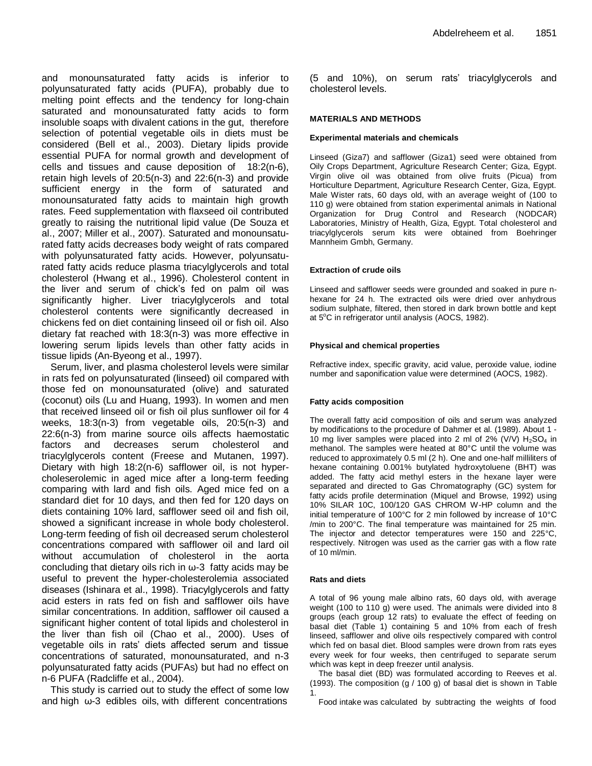and monounsaturated fatty acids is inferior to polyunsaturated fatty acids (PUFA), probably due to melting point effects and the tendency for long-chain saturated and monounsaturated fatty acids to form insoluble soaps with divalent cations in the gut, therefore selection of potential vegetable oils in diets must be considered (Bell et al., 2003). Dietary lipids provide essential PUFA for normal growth and development of cells and tissues and cause deposition of 18:2(n-6), retain high levels of 20:5(n-3) and 22:6(n-3) and provide sufficient energy in the form of saturated and monounsaturated fatty acids to maintain high growth rates. Feed supplementation with flaxseed oil contributed greatly to raising the nutritional lipid value (De Souza et al., 2007; Miller et al., 2007). Saturated and monounsaturated fatty acids decreases body weight of rats compared with polyunsaturated fatty acids. However, polyunsaturated fatty acids reduce plasma triacylglycerols and total cholesterol (Hwang et al., 1996). Cholesterol content in the liver and serum of chick's fed on palm oil was significantly higher. Liver triacylglycerols and total cholesterol contents were significantly decreased in chickens fed on diet containing linseed oil or fish oil. Also dietary fat reached with 18:3(n-3) was more effective in lowering serum lipids levels than other fatty acids in tissue lipids (An-Byeong et al., 1997).

Serum, liver, and plasma cholesterol levels were similar in rats fed on polyunsaturated (linseed) oil compared with those fed on monounsaturated (olive) and saturated (coconut) oils (Lu and Huang, 1993). In women and men that received linseed oil or fish oil plus sunflower oil for 4 weeks, 18:3(n-3) from vegetable oils, 20:5(n-3) and 22:6(n-3) from marine source oils affects haemostatic factors and decreases serum cholesterol and triacylglycerols content (Freese and Mutanen, 1997). Dietary with high 18:2(n-6) safflower oil, is not hypercholeserolemic in aged mice after a long-term feeding comparing with lard and fish oils. Aged mice fed on a standard diet for 10 days, and then fed for 120 days on diets containing 10% lard, safflower seed oil and fish oil, showed a significant increase in whole body cholesterol. Long-term feeding of fish oil decreased serum cholesterol concentrations compared with safflower oil and lard oil without accumulation of cholesterol in the aorta concluding that dietary oils rich in ω-3 fatty acids may be useful to prevent the hyper-cholesterolemia associated diseases (Ishinara et al., 1998). Triacylglycerols and fatty acid esters in rats fed on fish and safflower oils have similar concentrations. In addition, safflower oil caused a significant higher content of total lipids and cholesterol in the liver than fish oil (Chao et al., 2000). Uses of vegetable oils in rats' diets affected serum and tissue concentrations of saturated, monounsaturated, and n-3 polyunsaturated fatty acids (PUFAs) but had no effect on n-6 PUFA (Radcliffe et al., 2004).

This study is carried out to study the effect of some low and high  $\omega$ -3 edibles oils, with different concentrations

(5 and 10%), on serum rats' triacylglycerols and cholesterol levels.

## **MATERIALS AND METHODS**

#### **Experimental materials and chemicals**

Linseed (Giza7) and safflower (Giza1) seed were obtained from Oily Crops Department, Agriculture Research Center; Giza, Egypt. Virgin olive oil was obtained from olive fruits (Picua) from Horticulture Department, Agriculture Research Center, Giza, Egypt. Male Wister rats, 60 days old, with an average weight of (100 to 110 g) were obtained from station experimental animals in National Organization for Drug Control and Research (NODCAR) Laboratories, Ministry of Health, Giza, Egypt. Total cholesterol and triacylglycerols serum kits were obtained from Boehringer Mannheim Gmbh, Germany.

## **Extraction of crude oils**

Linseed and safflower seeds were grounded and soaked in pure nhexane for 24 h. The extracted oils were dried over anhydrous sodium sulphate, filtered, then stored in dark brown bottle and kept at  $5^{\circ}$ C in refrigerator until analysis (AOCS, 1982).

#### **Physical and chemical properties**

Refractive index, specific gravity, acid value, peroxide value, iodine number and saponification value were determined (AOCS, 1982).

## **Fatty acids composition**

The overall fatty acid composition of oils and serum was analyzed by modifications to the procedure of Dahmer et al. (1989). About 1 - 10 mg liver samples were placed into 2 ml of 2% (V/V)  $H_2SO_4$  in methanol. The samples were heated at 80°C until the volume was reduced to approximately 0.5 ml (2 h). One and one-half milliliters of hexane containing 0.001% butylated hydroxytoluene (BHT) was added. The fatty acid methyl esters in the hexane layer were separated and directed to Gas Chromatography (GC) system for fatty acids profile determination (Miquel and Browse, 1992) using 10% SILAR 10C, 100/120 GAS CHROM W-HP column and the initial temperature of 100°C for 2 min followed by increase of 10°C /min to 200°C. The final temperature was maintained for 25 min. The injector and detector temperatures were 150 and 225°C, respectively. Nitrogen was used as the carrier gas with a flow rate of 10 ml/min.

#### **Rats and diets**

A total of 96 young male albino rats, 60 days old, with average weight (100 to 110 g) were used. The animals were divided into 8 groups (each group 12 rats) to evaluate the effect of feeding on basal diet (Table 1) containing 5 and 10% from each of fresh linseed, safflower and olive oils respectively compared with control which fed on basal diet. Blood samples were drown from rats eyes every week for four weeks, then centrifuged to separate serum which was kept in deep freezer until analysis.

The basal diet (BD) was formulated according to Reeves et al. (1993). The composition (g / 100 g) of basal diet is shown in Table 1.

Food intake was calculated by subtracting the weights of food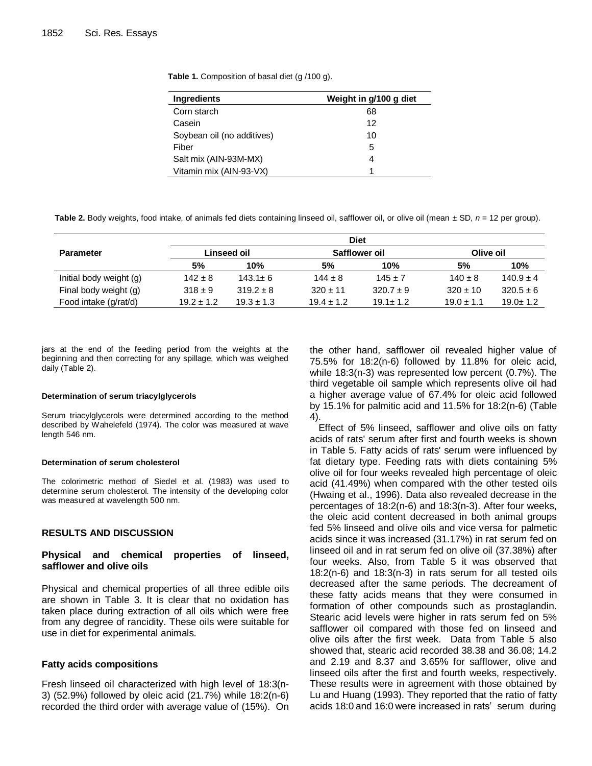**Table 1.** Composition of basal diet (g /100 g).

| <b>Ingredients</b>         | Weight in g/100 g diet |
|----------------------------|------------------------|
| Corn starch                | 68                     |
| Casein                     | 12                     |
| Soybean oil (no additives) | 10                     |
| Fiber                      | 5                      |
| Salt mix (AIN-93M-MX)      | 4                      |
| Vitamin mix (AIN-93-VX)    |                        |

**Table 2.** Body weights, food intake, of animals fed diets containing linseed oil, safflower oil, or olive oil (mean ± SD, *n* = 12 per group).

|                         | <b>Diet</b>    |                |                      |               |                |                |  |
|-------------------------|----------------|----------------|----------------------|---------------|----------------|----------------|--|
| <b>Parameter</b>        | Linseed oil    |                | <b>Safflower oil</b> |               | Olive oil      |                |  |
|                         | 5%             | 10%            | 5%                   | 10%           | 5%             | 10%            |  |
| Initial body weight (g) | $142 \pm 8$    | $143.1 \pm 6$  | $144 \pm 8$          | $145 + 7$     | $140 \pm 8$    | $140.9 \pm 4$  |  |
| Final body weight (g)   | $318 \pm 9$    | $319.2 \pm 8$  | $320 \pm 11$         | $320.7 \pm 9$ | $320 \pm 10$   | $320.5 \pm 6$  |  |
| Food intake (g/rat/d)   | $19.2 \pm 1.2$ | $19.3 \pm 1.3$ | $19.4 \pm 1.2$       | $19.1 + 1.2$  | $19.0 \pm 1.1$ | $19.0 \pm 1.2$ |  |

jars at the end of the feeding period from the weights at the beginning and then correcting for any spillage, which was weighed daily (Table 2).

#### **Determination of serum triacylglycerols**

Serum triacylglycerols were determined according to the method described by Wahelefeld (1974). The color was measured at wave length 546 nm.

## **Determination of serum cholesterol**

The colorimetric method of Siedel et al. (1983) was used to determine serum cholesterol. The intensity of the developing color was measured at wavelength 500 nm.

## **RESULTS AND DISCUSSION**

## **Physical and chemical properties of linseed, safflower and olive oils**

Physical and chemical properties of all three edible oils are shown in Table 3. It is clear that no oxidation has taken place during extraction of all oils which were free from any degree of rancidity. These oils were suitable for use in diet for experimental animals.

## **Fatty acids compositions**

Fresh linseed oil characterized with high level of 18:3(n-3) (52.9%) followed by oleic acid (21.7%) while 18:2(n-6) recorded the third order with average value of (15%). On the other hand, safflower oil revealed higher value of 75.5% for 18:2(n-6) followed by 11.8% for oleic acid, while 18:3(n-3) was represented low percent (0.7%). The third vegetable oil sample which represents olive oil had a higher average value of 67.4% for oleic acid followed by 15.1% for palmitic acid and 11.5% for 18:2(n-6) (Table 4).

Effect of 5% linseed, safflower and olive oils on fatty acids of rats' serum after first and fourth weeks is shown in Table 5. Fatty acids of rats' serum were influenced by fat dietary type. Feeding rats with diets containing 5% olive oil for four weeks revealed high percentage of oleic acid (41.49%) when compared with the other tested oils (Hwaing et al., 1996). Data also revealed decrease in the percentages of 18:2(n-6) and 18:3(n-3). After four weeks, the oleic acid content decreased in both animal groups fed 5% linseed and olive oils and vice versa for palmetic acids since it was increased (31.17%) in rat serum fed on linseed oil and in rat serum fed on olive oil (37.38%) after four weeks. Also, from Table 5 it was observed that 18:2(n-6) and 18:3(n-3) in rats serum for all tested oils decreased after the same periods. The decreament of these fatty acids means that they were consumed in formation of other compounds such as prostaglandin. Stearic acid levels were higher in rats serum fed on 5% safflower oil compared with those fed on linseed and olive oils after the first week. Data from Table 5 also showed that, stearic acid recorded 38.38 and 36.08; 14.2 and 2.19 and 8.37 and 3.65% for safflower, olive and linseed oils after the first and fourth weeks, respectively. These results were in agreement with those obtained by Lu and Huang (1993). They reported that the ratio of fatty acids 18:0 and 16:0 were increased in rats' serum during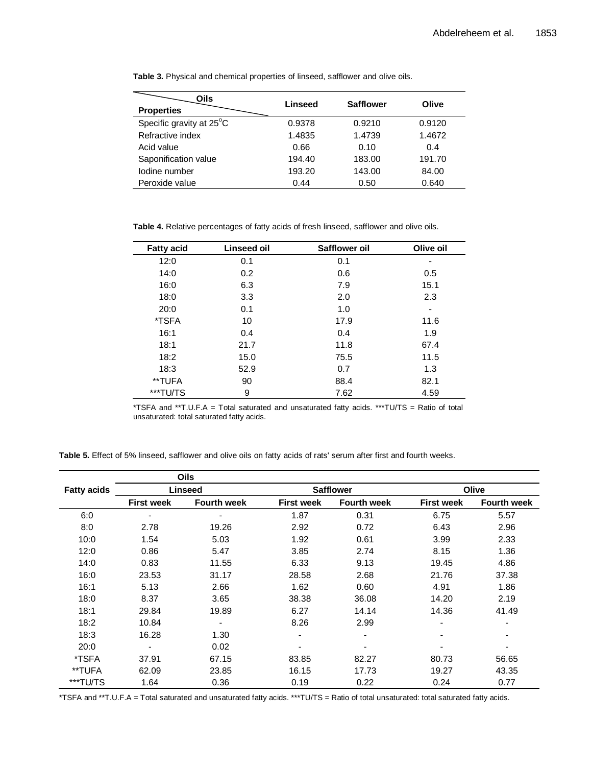| Oils<br><b>Properties</b> | Linseed | <b>Safflower</b> | Olive  |
|---------------------------|---------|------------------|--------|
| Specific gravity at 25°C  | 0.9378  | 0.9210           | 0.9120 |
| Refractive index          | 1.4835  | 1.4739           | 1.4672 |
| Acid value                | 0.66    | 0.10             | 0.4    |
| Saponification value      | 194.40  | 183.00           | 191.70 |
| lodine number             | 193.20  | 143.00           | 84.00  |
| Peroxide value            | 0.44    | 0.50             | 0.640  |

**Table 3.** Physical and chemical properties of linseed, safflower and olive oils.

**Table 4.** Relative percentages of fatty acids of fresh linseed, safflower and olive oils.

| <b>Fatty acid</b> | Linseed oil | Safflower oil | Olive oil |
|-------------------|-------------|---------------|-----------|
| 12:0              | 0.1         | 0.1           |           |
| 14:0              | 0.2         | 0.6           | 0.5       |
| 16:0              | 6.3         | 7.9           | 15.1      |
| 18:0              | 3.3         | 2.0           | 2.3       |
| 20:0              | 0.1         | 1.0           |           |
| *TSFA             | 10          | 17.9          | 11.6      |
| 16:1              | 0.4         | 0.4           | 1.9       |
| 18:1              | 21.7        | 11.8          | 67.4      |
| 18:2              | 15.0        | 75.5          | 11.5      |
| 18:3              | 52.9        | 0.7           | 1.3       |
| **TUFA            | 90          | 88.4          | 82.1      |
| ***TU/TS          | 9           | 7.62          | 4.59      |

\*TSFA and \*\*T.U.F.A = Total saturated and unsaturated fatty acids. \*\*\*TU/TS = Ratio of total unsaturated: total saturated fatty acids.

**Table 5.** Effect of 5% linseed, safflower and olive oils on fatty acids of rats' serum after first and fourth weeks.

|                    |                          | Oils               |                   |                    |                   |                    |  |
|--------------------|--------------------------|--------------------|-------------------|--------------------|-------------------|--------------------|--|
| <b>Fatty acids</b> | <b>Linseed</b>           |                    |                   | <b>Safflower</b>   | Olive             |                    |  |
|                    | <b>First week</b>        | <b>Fourth week</b> | <b>First week</b> | <b>Fourth week</b> | <b>First week</b> | <b>Fourth week</b> |  |
| 6:0                |                          |                    | 1.87              | 0.31               | 6.75              | 5.57               |  |
| 8:0                | 2.78                     | 19.26              | 2.92              | 0.72               | 6.43              | 2.96               |  |
| 10:0               | 1.54                     | 5.03               | 1.92              | 0.61               | 3.99              | 2.33               |  |
| 12:0               | 0.86                     | 5.47               | 3.85              | 2.74               | 8.15              | 1.36               |  |
| 14:0               | 0.83                     | 11.55              | 6.33              | 9.13               | 19.45             | 4.86               |  |
| 16:0               | 23.53                    | 31.17              | 28.58             | 2.68               | 21.76             | 37.38              |  |
| 16:1               | 5.13                     | 2.66               | 1.62              | 0.60               | 4.91              | 1.86               |  |
| 18:0               | 8.37                     | 3.65               | 38.38             | 36.08              | 14.20             | 2.19               |  |
| 18:1               | 29.84                    | 19.89              | 6.27              | 14.14              | 14.36             | 41.49              |  |
| 18:2               | 10.84                    |                    | 8.26              | 2.99               | ٠                 | -                  |  |
| 18:3               | 16.28                    | 1.30               | ۰                 |                    | ٠                 | ۰                  |  |
| 20:0               | $\overline{\phantom{a}}$ | 0.02               |                   |                    |                   | -                  |  |
| *TSFA              | 37.91                    | 67.15              | 83.85             | 82.27              | 80.73             | 56.65              |  |
| **TUFA             | 62.09                    | 23.85              | 16.15             | 17.73              | 19.27             | 43.35              |  |
| ***TU/TS           | 1.64                     | 0.36               | 0.19              | 0.22               | 0.24              | 0.77               |  |

\*TSFA and \*\*T.U.F.A = Total saturated and unsaturated fatty acids. \*\*\*TU/TS = Ratio of total unsaturated: total saturated fatty acids.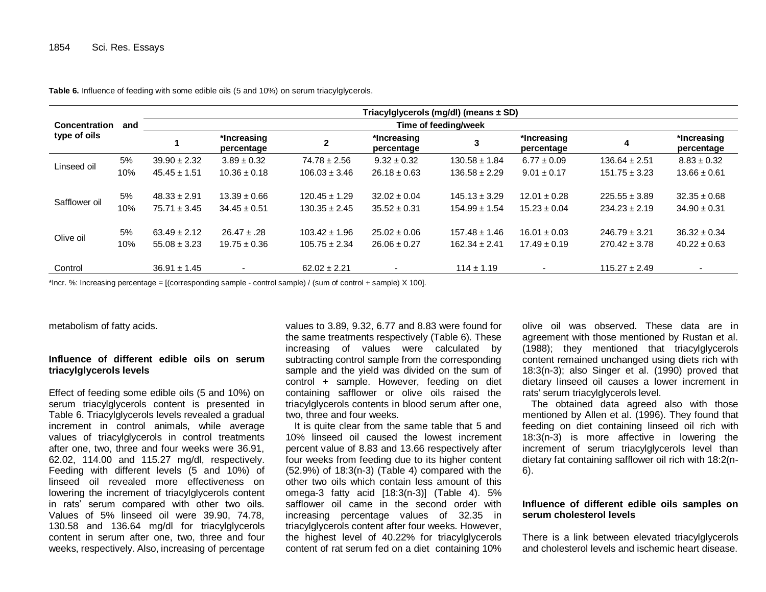|                      |     | Triacylglycerols (mg/dl) (means $\pm$ SD) |                           |                   |                           |                   |                           |                   |                           |  |
|----------------------|-----|-------------------------------------------|---------------------------|-------------------|---------------------------|-------------------|---------------------------|-------------------|---------------------------|--|
| <b>Concentration</b> | and | Time of feeding/week                      |                           |                   |                           |                   |                           |                   |                           |  |
| type of oils         |     |                                           | *Increasing<br>percentage |                   | *Increasing<br>percentage | 3                 | *Increasing<br>percentage | 4                 | *Increasing<br>percentage |  |
|                      | 5%  | $39.90 \pm 2.32$                          | $3.89 \pm 0.32$           | $74.78 \pm 2.56$  | $9.32 \pm 0.32$           | $130.58 \pm 1.84$ | $6.77 \pm 0.09$           | $136.64 \pm 2.51$ | $8.83 \pm 0.32$           |  |
| Linseed oil          | 10% | $45.45 \pm 1.51$                          | $10.36 \pm 0.18$          | $106.03 \pm 3.46$ | $26.18 \pm 0.63$          | $136.58 \pm 2.29$ | $9.01 \pm 0.17$           | $151.75 \pm 3.23$ | $13.66 \pm 0.61$          |  |
| Safflower oil        | 5%  | $48.33 \pm 2.91$                          | $13.39 \pm 0.66$          | $120.45 \pm 1.29$ | $32.02 \pm 0.04$          | $145.13 \pm 3.29$ | $12.01 \pm 0.28$          | $225.55 \pm 3.89$ | $32.35 \pm 0.68$          |  |
|                      | 10% | $75.71 \pm 3.45$                          | $34.45 \pm 0.51$          | $130.35 \pm 2.45$ | $35.52 \pm 0.31$          | $154.99 \pm 1.54$ | $15.23 \pm 0.04$          | $234.23 \pm 2.19$ | $34.90 \pm 0.31$          |  |
| Olive oil            | 5%  | $63.49 \pm 2.12$                          | $26.47 \pm .28$           | $103.42 \pm 1.96$ | $25.02 \pm 0.06$          | $157.48 \pm 1.46$ | $16.01 \pm 0.03$          | $246.79 \pm 3.21$ | $36.32 \pm 0.34$          |  |
|                      | 10% | $55.08 \pm 3.23$                          | $19.75 \pm 0.36$          | $105.75 \pm 2.34$ | $26.06 \pm 0.27$          | $162.34 \pm 2.41$ | $17.49 \pm 0.19$          | $270.42 \pm 3.78$ | $40.22 \pm 0.63$          |  |
| Control              |     | $36.91 \pm 1.45$                          | $\overline{\phantom{a}}$  | $62.02 \pm 2.21$  | $\overline{\phantom{a}}$  | $114 \pm 1.19$    | $\overline{\phantom{a}}$  | $115.27 \pm 2.49$ | $\overline{\phantom{a}}$  |  |

**Table 6.** Influence of feeding with some edible oils (5 and 10%) on serum triacylglycerols.

\*Incr. %: Increasing percentage = [(corresponding sample - control sample) / (sum of control + sample) X 100].

metabolism of fatty acids.

## **Influence of different edible oils on serum triacylglycerols levels**

Effect of feeding some edible oils (5 and 10%) on serum triacylglycerols content is presented in Table 6. Triacylglycerols levels revealed a gradual increment in control animals, while average values of triacylglycerols in control treatments after one, two, three and four weeks were 36.91, 62.02, 114.00 and 115.27 mg/dl, respectively. Feeding with different levels (5 and 10%) of linseed oil revealed more effectiveness on lowering the increment of triacylglycerols content in rats' serum compared with other two oils. Values of 5% linseed oil were 39.90, 74.78, 130.58 and 136.64 mg/dl for triacylglycerols content in serum after one, two, three and four weeks, respectively. Also, increasing of percentage

values to 3.89, 9.32, 6.77 and 8.83 were found for the same treatments respectively (Table 6). These increasing of values were calculated by subtracting control sample from the corresponding sample and the yield was divided on the sum of control + sample. However, feeding on diet containing safflower or olive oils raised the triacylglycerols contents in blood serum after one, two, three and four weeks.

It is quite clear from the same table that 5 and 10% linseed oil caused the lowest increment percent value of 8.83 and 13.66 respectively after four weeks from feeding due to its higher content (52.9%) of 18:3(n-3) (Table 4) compared with the other two oils which contain less amount of this omega-3 fatty acid [18:3(n-3)] (Table 4). 5% safflower oil came in the second order with increasing percentage values of 32.35 in triacylglycerols content after four weeks. However, the highest level of 40.22% for triacylglycerols content of rat serum fed on a diet containing 10%

olive oil was observed. These data are in agreement with those mentioned by Rustan et al. (1988); they mentioned that triacylglycerols content remained unchanged using diets rich with 18:3(n-3); also Singer et al. (1990) proved that dietary linseed oil causes a lower increment in rats' serum triacylglycerols level.

The obtained data agreed also with those mentioned by Allen et al. (1996). They found that feeding on diet containing linseed oil rich with 18:3(n-3) is more affective in lowering the increment of serum triacylglycerols level than dietary fat containing safflower oil rich with 18:2(n-6).

## **Influence of different edible oils samples on serum cholesterol levels**

There is a link between elevated triacylglycerols and cholesterol levels and ischemic heart disease.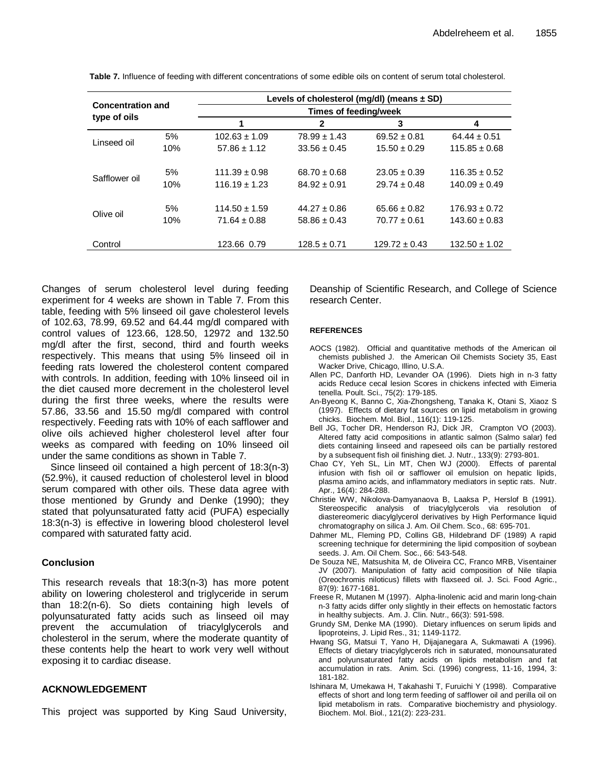| <b>Concentration and</b> |     | Levels of cholesterol (mg/dl) (means $\pm$ SD)<br>Times of feeding/week |                  |                   |                   |  |  |  |
|--------------------------|-----|-------------------------------------------------------------------------|------------------|-------------------|-------------------|--|--|--|
|                          |     |                                                                         |                  |                   |                   |  |  |  |
|                          | 5%  | $102.63 \pm 1.09$                                                       | $78.99 \pm 1.43$ | $69.52 \pm 0.81$  | $64.44 \pm 0.51$  |  |  |  |
| Linseed oil              | 10% | $57.86 \pm 1.12$                                                        | $33.56 \pm 0.45$ | $15.50 \pm 0.29$  | $115.85 \pm 0.68$ |  |  |  |
| Safflower oil            | 5%  | $111.39 \pm 0.98$                                                       | $68.70 \pm 0.68$ | $23.05 \pm 0.39$  | $116.35 \pm 0.52$ |  |  |  |
|                          | 10% | $116.19 \pm 1.23$                                                       | $84.92 \pm 0.91$ | $29.74 \pm 0.48$  | $140.09 \pm 0.49$ |  |  |  |
| Olive oil                | 5%  | $114.50 \pm 1.59$                                                       | $44.27 \pm 0.86$ | $65.66 \pm 0.82$  | $176.93 \pm 0.72$ |  |  |  |
|                          | 10% | $71.64 \pm 0.88$                                                        | $58.86 \pm 0.43$ | $70.77 \pm 0.61$  | $143.60 \pm 0.83$ |  |  |  |
| Control                  |     | 123.66 0.79                                                             | $128.5 \pm 0.71$ | $129.72 \pm 0.43$ | $132.50 \pm 1.02$ |  |  |  |

**Table 7.** Influence of feeding with different concentrations of some edible oils on content of serum total cholesterol.

Changes of serum cholesterol level during feeding experiment for 4 weeks are shown in Table 7. From this table, feeding with 5% linseed oil gave cholesterol levels of 102.63, 78.99, 69.52 and 64.44 mg/dl compared with control values of 123.66, 128.50, 12972 and 132.50 mg/dl after the first, second, third and fourth weeks respectively. This means that using 5% linseed oil in feeding rats lowered the cholesterol content compared with controls. In addition, feeding with 10% linseed oil in the diet caused more decrement in the cholesterol level during the first three weeks, where the results were 57.86, 33.56 and 15.50 mg/dl compared with control respectively. Feeding rats with 10% of each safflower and olive oils achieved higher cholesterol level after four weeks as compared with feeding on 10% linseed oil under the same conditions as shown in Table 7.

Since linseed oil contained a high percent of 18:3(n-3) (52.9%), it caused reduction of cholesterol level in blood serum compared with other oils. These data agree with those mentioned by Grundy and Denke (1990); they stated that polyunsaturated fatty acid (PUFA) especially 18:3(n-3) is effective in lowering blood cholesterol level compared with saturated fatty acid.

# **Conclusion**

This research reveals that 18:3(n-3) has more potent ability on lowering cholesterol and triglyceride in serum than 18:2(n-6). So diets containing high levels of polyunsaturated fatty acids such as linseed oil may prevent the accumulation of triacylglycerols and cholesterol in the serum, where the moderate quantity of these contents help the heart to work very well without exposing it to cardiac disease.

# **ACKNOWLEDGEMENT**

This project was supported by King Saud University,

Deanship of Scientific Research, and College of Science research Center.

## **REFERENCES**

- AOCS (1982). Official and quantitative methods of the American oil chemists published J. the American Oil Chemists Society 35, East Wacker Drive, Chicago, Illino, U.S.A.
- Allen PC, Danforth HD, Levander OA (1996). Diets high in n-3 fatty acids Reduce cecal lesion Scores in chickens infected with Eimeria tenella. Poult. Sci., 75(2): 179-185.
- [An-Byeong K,](http://www.google.com/search?hl=en&noj=1&sa=X&ei=chq1T_fmPOiw0QXkiZT1Dw&ved=0CAcQvwUoAA&q=An-Byeong+Ki,+Banno+C,+Xia-Zhongsheng,+Tanaka+K,+Otani+S,+Xiao+S+(1997).+Effects+of+dietary+fat+sources+on+lipid+metabolism+in+growing+chicks&spell=1) Banno C, Xia-Zhongsheng, Tanaka K, Otani S, Xiaoz S (1997). Effects of dietary fat sources on lipid metabolism in growing chicks. Biochem. Mol. Biol., 116(1): 119-125.
- Bell JG, Tocher DR, Henderson RJ, Dick JR, Crampton VO (2003). Altered fatty acid compositions in atlantic salmon (Salmo salar) fed diets containing linseed and rapeseed oils can be partially restored by a subsequent fish oil finishing diet. J. Nutr., 133(9): 2793-801.
- Chao CY, Yeh SL, Lin MT, Chen WJ (2000). Effects of parental infusion with fish oil or safflower oil emulsion on hepatic lipids, plasma amino acids, and inflammatory mediators in septic rats. Nutr. Apr., 16(4): 284-288.
- Christie WW, Nikolova-Damyanaova B, Laaksa P, Herslof B (1991). Stereospecific analysis of triacylglycerols via resolution of diastereomeric diacylglycerol derivatives by High Performance liquid chromatography on silica J. Am. Oil Chem. Sco., 68: 695-701.
- Dahmer ML, Fleming PD, Collins GB, Hildebrand DF (1989) A rapid screening technique for determining the lipid composition of soybean seeds. J. Am. Oil Chem. Soc., 66: 543-548.
- De Souza NE, Matsushita M, de Oliveira CC, Franco MRB, Visentainer JV (2007). Manipulation of fatty acid composition of Nile tilapia (Oreochromis niloticus) fillets with flaxseed oil. J. Sci. Food Agric., 87(9): 1677-1681.
- Freese R, Mutanen M (1997). Alpha-linolenic acid and marin long-chain n-3 fatty acids differ only slightly in their effects on hemostatic factors in healthy subjects. Am. J. Clin. Nutr., 66(3): 591-598.
- Grundy SM, Denke MA (1990). Dietary influences on serum lipids and lipoproteins, J. Lipid Res., 31; 1149-1172.
- Hwang SG, Matsui T, Yano H, Dijajanegara A, Sukmawati A (1996). Effects of dietary triacylglycerols rich in saturated, monounsaturated and polyunsaturated fatty acids on lipids metabolism and fat accumulation in rats. Anim. Sci. (1996) congress, 11-16, 1994, 3: 181-182.
- Ishinara M, Umekawa H, Takahashi T, Furuichi Y (1998). Comparative effects of short and long term feeding of safflower oil and perilla oil on lipid metabolism in rats. Comparative biochemistry and physiology. Biochem. Mol. Biol., 121(2): 223-231.